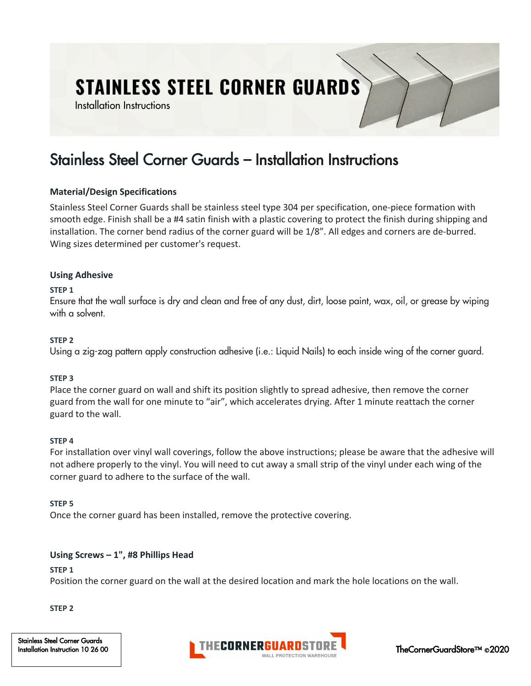# **STAINLESS STEEL CORNER GUARDS**

Installation Instructions

## Stainless Steel Corner Guards – Installation Instructions

#### **Material/Design Specifications**

Stainless Steel Corner Guards shall be stainless steel type 304 per specification, one-piece formation with smooth edge. Finish shall be a #4 satin finish with a plastic covering to protect the finish during shipping and installation. The corner bend radius of the corner guard will be 1/8". All edges and corners are de-burred. Wing sizes determined per customer's request.

#### **Using Adhesive**

#### **STEP 1**

Ensure that the wall surface is dry and clean and free of any dust, dirt, loose paint, wax, oil, or grease by wiping with a solvent.

#### **STEP 2**

Using a zig-zag pattern apply construction adhesive (i.e.: Liquid Nails) to each inside wing of the corner guard.

#### **STEP 3**

Place the corner guard on wall and shift its position slightly to spread adhesive, then remove the corner guard from the wall for one minute to "air", which accelerates drying. After 1 minute reattach the corner guard to the wall.

#### **STEP 4**

For installation over vinyl wall coverings, follow the above instructions; please be aware that the adhesive will not adhere properly to the vinyl. You will need to cut away a small strip of the vinyl under each wing of the corner guard to adhere to the surface of the wall.

#### **STEP 5**

Once the corner guard has been installed, remove the protective covering.

#### **Using Screws – 1", #8 Phillips Head**

#### **STEP 1**

Position the corner guard on the wall at the desired location and mark the hole locations on the wall.

#### **STEP 2**